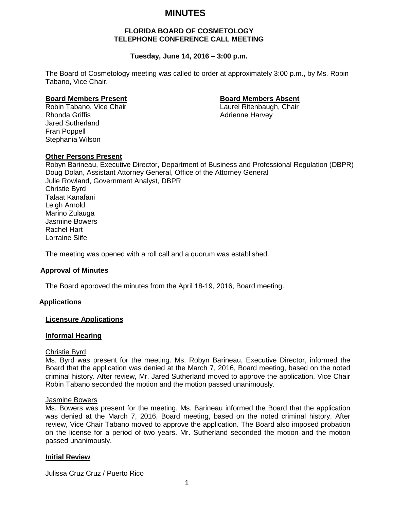# **MINUTES**

## **FLORIDA BOARD OF COSMETOLOGY TELEPHONE CONFERENCE CALL MEETING**

## **Tuesday, June 14, 2016 – 3:00 p.m.**

The Board of Cosmetology meeting was called to order at approximately 3:00 p.m., by Ms. Robin Tabano, Vice Chair.

**Board Members Present Board Members Absent** Robin Tabano, Vice Chair Rhonda Griffis **Adrienne Harvey** Adrienne Harvey Jared Sutherland Fran Poppell Stephania Wilson

## **Other Persons Present**

Robyn Barineau, Executive Director, Department of Business and Professional Regulation (DBPR) Doug Dolan, Assistant Attorney General, Office of the Attorney General Julie Rowland, Government Analyst, DBPR Christie Byrd Talaat Kanafani Leigh Arnold Marino Zulauga Jasmine Bowers Rachel Hart Lorraine Slife

The meeting was opened with a roll call and a quorum was established.

#### **Approval of Minutes**

The Board approved the minutes from the April 18-19, 2016, Board meeting.

## **Applications**

#### **Licensure Applications**

#### **Informal Hearing**

#### Christie Byrd

Ms. Byrd was present for the meeting. Ms. Robyn Barineau, Executive Director, informed the Board that the application was denied at the March 7, 2016, Board meeting, based on the noted criminal history. After review, Mr. Jared Sutherland moved to approve the application. Vice Chair Robin Tabano seconded the motion and the motion passed unanimously.

#### Jasmine Bowers

Ms. Bowers was present for the meeting. Ms. Barineau informed the Board that the application was denied at the March 7, 2016, Board meeting, based on the noted criminal history. After review, Vice Chair Tabano moved to approve the application. The Board also imposed probation on the license for a period of two years. Mr. Sutherland seconded the motion and the motion passed unanimously.

#### **Initial Review**

Julissa Cruz Cruz / Puerto Rico